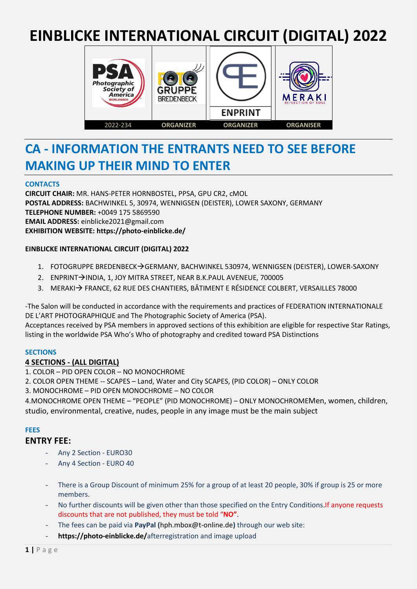# **EINBLICKE INTERNATIONAL CIRCUIT (DIGITAL) 2022**



# **CA - INFORMATION THE ENTRANTS NEED TO SEE BEFORE MAKING UP THEIR MIND TO ENTER**

## **CONTACTS**

**CIRCUIT CHAIR:** MR. HANS-PETER HORNBOSTEL, PPSA, GPU CR2, cMOL **POSTAL ADDRESS:** BACHWINKEL 5, 30974, WENNIGSEN (DEISTER), LOWER SAXONY, GERMANY **TELEPHONE NUMBER:** +0049 175 5869590 **EMAIL ADDRESS:** einblicke2021@gmail.com **EXHIBITION WEBSITE: https://photo-einblicke.de/**

## **EINBLICKE INTERNATIONAL CIRCUIT (DIGITAL) 2022**

- 1. FOTOGRUPPE BREDENBECK→GERMANY, BACHWINKEL 530974, WENNIGSEN (DEISTER), LOWER-SAXONY
- 2. ENPRINT→INDIA, 1, JOY MITRA STREET, NEAR B.K.PAUL AVENEUE, 700005
- 3. MERAKI→ FRANCE, 62 RUE DES CHANTIERS, BÂTIMENT E RÉSIDENCE COLBERT, VERSAILLES 78000

-The Salon will be conducted in accordance with the requirements and practices of FEDERATION INTERNATIONALE DE L'ART PHOTOGRAPHIQUE and The Photographic Society of America (PSA).

Acceptances received by PSA members in approved sections of this exhibition are eligible for respective Star Ratings, listing in the worldwide PSA Who's Who of photography and credited toward PSA Distinctions

## **SECTIONS**

## **4 SECTIONS - (ALL DIGITAL)**

- 1. COLOR PID OPEN COLOR NO MONOCHROME
- 2. COLOR OPEN THEME -- SCAPES Land, Water and City SCAPES, (PID COLOR) ONLY COLOR

3. MONOCHROME – PID OPEN MONOCHROME – NO COLOR

4.MONOCHROME OPEN THEME – "PEOPLE" (PID MONOCHROME) – ONLY MONOCHROMEMen, women, children, studio, environmental, creative, nudes, people in any image must be the main subject

## **FEES**

## **ENTRY FEE:**

- Any 2 Section EURO30
- Any 4 Section EURO 40
- There is a Group Discount of minimum 25% for a group of at least 20 people, 30% if group is 25 or more members.
- No further discounts will be given other than those specified on the Entry Conditions. If anyone requests discounts that are not published, they must be told "**NO"**.
- The fees can be paid via **PayPal (**hph.mbox@t-online.de**)** through our web site:
- **https://photo-einblicke.de/**afterregistration and image upload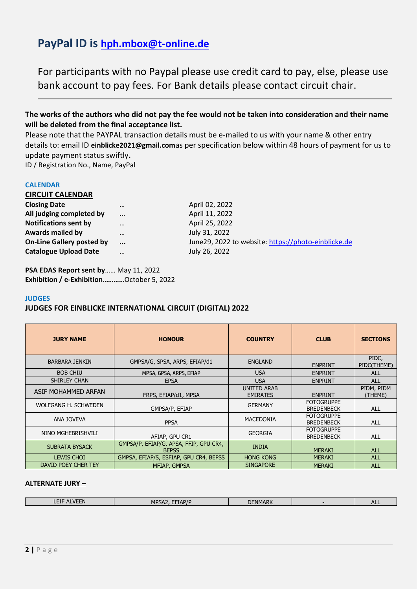## **PayPal ID is [hph.mbox@t-online.de](mailto:hph.mbox@t-online.de)**

For participants with no Paypal please use credit card to pay, else, please use bank account to pay fees. For Bank details please contact circuit chair.

**The works of the authors who did not pay the fee would not be taken into consideration and their name will be deleted from the final acceptance list.**

Please note that the PAYPAL transaction details must be e-mailed to us with your name & other entry details to: email ID **einblicke2021@gmail.com**as per specification below within 48 hours of payment for us to update payment status swiftly**.**

ID / Registration No., Name, PayPal

#### **CALENDAR**

| <b>CIRCUIT CALENDAR</b>          |          |                     |
|----------------------------------|----------|---------------------|
| <b>Closing Date</b>              | $\cdots$ | April 02, 2022      |
| All judging completed by         |          | April 11, 2022      |
| <b>Notifications sent by</b>     |          | April 25, 2022      |
| <b>Awards mailed by</b>          | $\cdots$ | July 31, 2022       |
| <b>On-Line Gallery posted by</b> | $\cdots$ | June29, 2022 to web |

**Site: [https://photo-einblicke.de](https://photo-einblicke.de/) Catalogue Upload Date** … July 26, 2022

**PSA EDAS Report sent by**…… May 11, 2022 **Exhibition / e-Exhibition…………**October 5, 2022

#### **JUDGES**

## **JUDGES FOR EINBLICKE INTERNATIONAL CIRCUIT (DIGITAL) 2022**

| <b>JURY NAME</b>      | <b>HONOUR</b>                                          | <b>COUNTRY</b>                 | <b>CLUB</b>                            | <b>SECTIONS</b>       |
|-----------------------|--------------------------------------------------------|--------------------------------|----------------------------------------|-----------------------|
| <b>BARBARA JENKIN</b> | GMPSA/G, SPSA, ARPS, EFIAP/d1                          | <b>ENGLAND</b>                 | <b>ENPRINT</b>                         | PIDC,<br>PIDC(THEME)  |
| <b>BOB CHIU</b>       | MPSA, GPSA, ARPS, EFIAP                                | <b>USA</b>                     | <b>ENPRINT</b>                         | <b>ALL</b>            |
| <b>SHIRLEY CHAN</b>   | <b>EPSA</b>                                            | <b>USA</b>                     | <b>ENPRINT</b>                         | <b>ALL</b>            |
| ASIF MOHAMMED ARFAN   | FRPS, EFIAP/d1, MPSA                                   | UNITED ARAB<br><b>EMIRATES</b> | <b>ENPRINT</b>                         | PIDM, PIDM<br>(THEME) |
| WOLFGANG H. SCHWEDEN  | GMPSA/P, EFIAP                                         | <b>GERMANY</b>                 | <b>FOTOGRUPPE</b><br><b>BREDENBECK</b> | <b>ALL</b>            |
| ANA JOVEVA            | <b>PPSA</b>                                            | <b>MACEDONIA</b>               | <b>FOTOGRUPPE</b><br><b>BREDENBECK</b> | <b>ALL</b>            |
| NINO MGHEBRISHVILI    | AFIAP, GPU CR1                                         | <b>GEORGIA</b>                 | <b>FOTOGRUPPE</b><br><b>BREDENBECK</b> | ALL                   |
| <b>SUBRATA BYSACK</b> | GMPSA/P, EFIAP/G, APSA, FFIP, GPU CR4,<br><b>BEPSS</b> | <b>INDIA</b>                   | <b>MERAKI</b>                          | <b>ALL</b>            |
| <b>LEWIS CHOI</b>     | GMPSA, EFIAP/S, ESFIAP, GPU CR4, BEPSS                 | <b>HONG KONG</b>               | <b>MERAKI</b>                          | <b>ALL</b>            |
| DAVID POEY CHER TEY   | MFIAP, GMPSA                                           | <b>SINGAPORE</b>               | <b>MERAKI</b>                          | <b>ALL</b>            |

#### **ALTERNATE JURY –**

| --<br>-------- | the contract of the contract of the contract of the contract of the contract of the contract of the contract of | ---<br>. . | <b>NIMADIZ</b><br>__<br>w |  | " |
|----------------|-----------------------------------------------------------------------------------------------------------------|------------|---------------------------|--|---|
|----------------|-----------------------------------------------------------------------------------------------------------------|------------|---------------------------|--|---|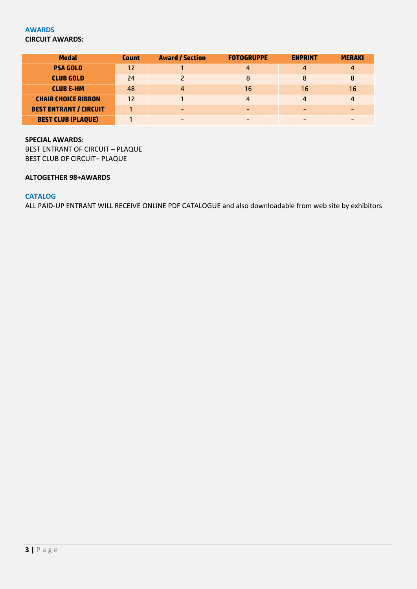## **AWARDS CIRCUIT AWARDS:**

| <b>Medal</b>                  | <b>Count</b> | <b>Award / Section</b> | <b>FOTOGRUPPE</b> | <b>ENPRINT</b> | <b>MERAKI</b> |
|-------------------------------|--------------|------------------------|-------------------|----------------|---------------|
| <b>PSA GOLD</b>               | 12           |                        | 4                 | 4              |               |
| <b>CLUB GOLD</b>              | 24           |                        | 8                 | 8              | 8             |
| <b>CLUBE-HM</b>               | 48           | 4                      | 16                | 16             | 16            |
| <b>CHAIR CHOICE RIBBON</b>    | 12           |                        | 4                 | $\overline{a}$ |               |
| <b>BEST ENTRANT / CIRCUIT</b> |              |                        |                   |                |               |
| <b>BEST CLUB (PLAQUE)</b>     |              |                        |                   |                |               |

#### **SPECIAL AWARDS:**

BEST ENTRANT OF CIRCUIT – PLAQUE BEST CLUB OF CIRCUIT– PLAQUE

#### **ALTOGETHER 98+AWARDS**

## **CATALOG**

ALL PAID-UP ENTRANT WILL RECEIVE ONLINE PDF CATALOGUE and also downloadable from web site by exhibitors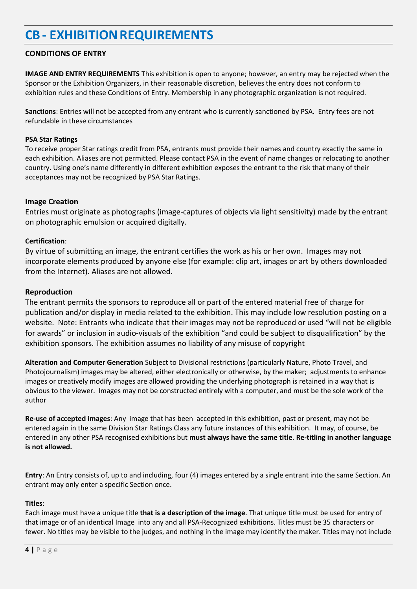# **CB - EXHIBITION REQUIREMENTS**

## **CONDITIONS OF ENTRY**

**IMAGE AND ENTRY REQUIREMENTS** This exhibition is open to anyone; however, an entry may be rejected when the Sponsor or the Exhibition Organizers, in their reasonable discretion, believes the entry does not conform to exhibition rules and these Conditions of Entry. Membership in any photographic organization is not required.

**Sanctions**: Entries will not be accepted from any entrant who is currently sanctioned by PSA. Entry fees are not refundable in these circumstances

#### **PSA Star Ratings**

To receive proper Star ratings credit from PSA, entrants must provide their names and country exactly the same in each exhibition. Aliases are not permitted. Please contact PSA in the event of name changes or relocating to another country. Using one's name differently in different exhibition exposes the entrant to the risk that many of their acceptances may not be recognized by PSA Star Ratings.

## **Image Creation**

Entries must originate as photographs (image-captures of objects via light sensitivity) made by the entrant on photographic emulsion or acquired digitally.

#### **Certification**:

By virtue of submitting an image, the entrant certifies the work as his or her own. Images may not incorporate elements produced by anyone else (for example: clip art, images or art by others downloaded from the Internet). Aliases are not allowed.

#### **Reproduction**

The entrant permits the sponsors to reproduce all or part of the entered material free of charge for publication and/or display in media related to the exhibition. This may include low resolution posting on a website. Note: Entrants who indicate that their images may not be reproduced or used "will not be eligible for awards" or inclusion in audio-visuals of the exhibition "and could be subject to disqualification" by the exhibition sponsors. The exhibition assumes no liability of any misuse of copyright

**Alteration and Computer Generation** Subject to Divisional restrictions (particularly Nature, Photo Travel, and Photojournalism) images may be altered, either electronically or otherwise, by the maker; adjustments to enhance images or creatively modify images are allowed providing the underlying photograph is retained in a way that is obvious to the viewer. Images may not be constructed entirely with a computer, and must be the sole work of the author

**Re-use of accepted images**: Any image that has been accepted in this exhibition, past or present, may not be entered again in the same Division Star Ratings Class any future instances of this exhibition. It may, of course, be entered in any other PSA recognised exhibitions but **must always have the same title**. **Re-titling in another language is not allowed.**

**Entry**: An Entry consists of, up to and including, four (4) images entered by a single entrant into the same Section. An entrant may only enter a specific Section once.

#### **Titles**:

Each image must have a unique title **that is a description of the image**. That unique title must be used for entry of that image or of an identical Image into any and all PSA-Recognized exhibitions. Titles must be 35 characters or fewer. No titles may be visible to the judges, and nothing in the image may identify the maker. Titles may not include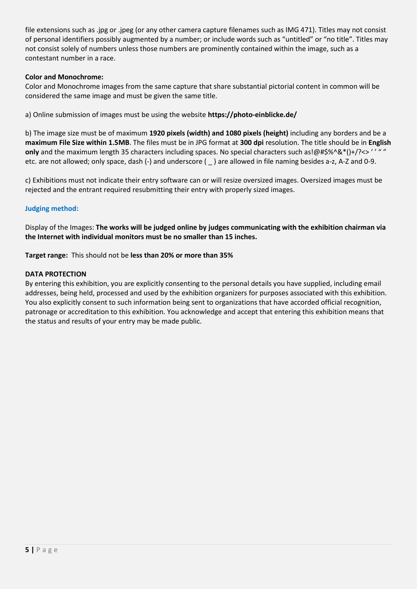file extensions such as .jpg or .jpeg (or any other camera capture filenames such as IMG 471). Titles may not consist of personal identifiers possibly augmented by a number; or include words such as "untitled" or "no title". Titles may not consist solely of numbers unless those numbers are prominently contained within the image, such as a contestant number in a race.

#### **Color and Monochrome:**

Color and Monochrome images from the same capture that share substantial pictorial content in common will be considered the same image and must be given the same title.

a) Online submission of images must be using the website **https://photo-einblicke.de/**

b) The image size must be of maximum **1920 pixels (width) and 1080 pixels (height)** including any borders and be a **maximum File Size within 1.5MB**. The files must be in JPG format at **300 dpi** resolution. The title should be in **English only** and the maximum length 35 characters including spaces. No special characters such as!@#\$%^&\*()+/?<> ' ' " " etc. are not allowed; only space, dash (-) and underscore ( \_ ) are allowed in file naming besides a-z, A-Z and 0-9.

c) Exhibitions must not indicate their entry software can or will resize oversized images. Oversized images must be rejected and the entrant required resubmitting their entry with properly sized images.

#### **Judging method:**

Display of the Images: **The works will be judged online by judges communicating with the exhibition chairman via the Internet with individual monitors must be no smaller than 15 inches.**

**Target range:** This should not be **less than 20% or more than 35%**

#### **DATA PROTECTION**

By entering this exhibition, you are explicitly consenting to the personal details you have supplied, including email addresses, being held, processed and used by the exhibition organizers for purposes associated with this exhibition. You also explicitly consent to such information being sent to organizations that have accorded official recognition, patronage or accreditation to this exhibition. You acknowledge and accept that entering this exhibition means that the status and results of your entry may be made public.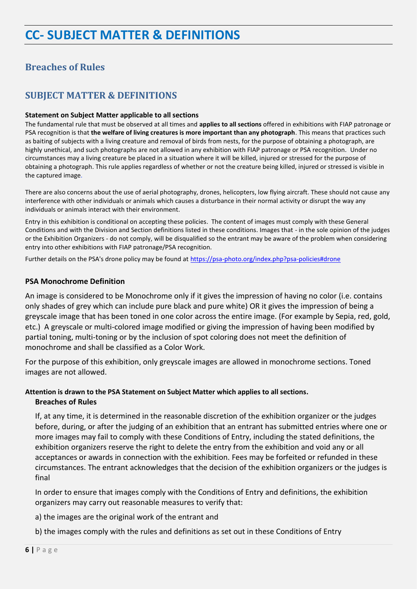## **Breaches of Rules**

## **SUBJECT MATTER & DEFINITIONS**

#### **Statement on Subject Matter applicable to all sections**

The fundamental rule that must be observed at all times and **applies to all sections** offered in exhibitions with FIAP patronage or PSA recognition is that **the welfare of living creatures is more important than any photograph**. This means that practices such as baiting of subjects with a living creature and removal of birds from nests, for the purpose of obtaining a photograph, are highly unethical, and such photographs are not allowed in any exhibition with FIAP patronage or PSA recognition. Under no circumstances may a living creature be placed in a situation where it will be killed, injured or stressed for the purpose of obtaining a photograph. This rule applies regardless of whether or not the creature being killed, injured or stressed is visible in the captured image.

There are also concerns about the use of aerial photography, drones, helicopters, low flying aircraft. These should not cause any interference with other individuals or animals which causes a disturbance in their normal activity or disrupt the way any individuals or animals interact with their environment.

Entry in this exhibition is conditional on accepting these policies. The content of images must comply with these General Conditions and with the Division and Section definitions listed in these conditions. Images that - in the sole opinion of the judges or the Exhibition Organizers - do not comply, will be disqualified so the entrant may be aware of the problem when considering entry into other exhibitions with FIAP patronage/PSA recognition.

Further details on the PSA's drone policy may be found at [https://psa-photo.org/index.php?psa-policies#drone](https://psa-photo.org/index.php?psa-policies%23drone)

## **PSA Monochrome Definition**

An image is considered to be Monochrome only if it gives the impression of having no color (i.e. contains only shades of grey which can include pure black and pure white) OR it gives the impression of being a greyscale image that has been toned in one color across the entire image. (For example by Sepia, red, gold, etc.) A greyscale or multi-colored image modified or giving the impression of having been modified by partial toning, multi-toning or by the inclusion of spot coloring does not meet the definition of monochrome and shall be classified as a Color Work.

For the purpose of this exhibition, only greyscale images are allowed in monochrome sections. Toned images are not allowed.

## **Attention is drawn to the PSA Statement on Subject Matter which applies to all sections. Breaches of Rules**

If, at any time, it is determined in the reasonable discretion of the exhibition organizer or the judges before, during, or after the judging of an exhibition that an entrant has submitted entries where one or more images may fail to comply with these Conditions of Entry, including the stated definitions, the exhibition organizers reserve the right to delete the entry from the exhibition and void any or all acceptances or awards in connection with the exhibition. Fees may be forfeited or refunded in these circumstances. The entrant acknowledges that the decision of the exhibition organizers or the judges is final

In order to ensure that images comply with the Conditions of Entry and definitions, the exhibition organizers may carry out reasonable measures to verify that:

a) the images are the original work of the entrant and

b) the images comply with the rules and definitions as set out in these Conditions of Entry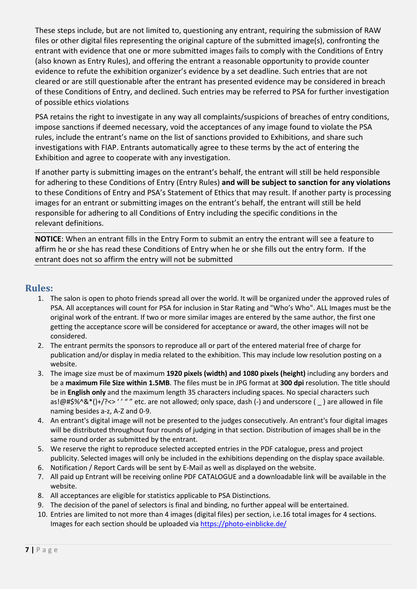These steps include, but are not limited to, questioning any entrant, requiring the submission of RAW files or other digital files representing the original capture of the submitted image(s), confronting the entrant with evidence that one or more submitted images fails to comply with the Conditions of Entry (also known as Entry Rules), and offering the entrant a reasonable opportunity to provide counter evidence to refute the exhibition organizer's evidence by a set deadline. Such entries that are not cleared or are still questionable after the entrant has presented evidence may be considered in breach of these Conditions of Entry, and declined. Such entries may be referred to PSA for further investigation of possible ethics violations

PSA retains the right to investigate in any way all complaints/suspicions of breaches of entry conditions, impose sanctions if deemed necessary, void the acceptances of any image found to violate the PSA rules, include the entrant's name on the list of sanctions provided to Exhibitions, and share such investigations with FIAP. Entrants automatically agree to these terms by the act of entering the Exhibition and agree to cooperate with any investigation.

If another party is submitting images on the entrant's behalf, the entrant will still be held responsible for adhering to these Conditions of Entry (Entry Rules) **and will be subject to sanction for any violations** to these Conditions of Entry and PSA's Statement of Ethics that may result. If another party is processing images for an entrant or submitting images on the entrant's behalf, the entrant will still be held responsible for adhering to all Conditions of Entry including the specific conditions in the relevant definitions.

**NOTICE**: When an entrant fills in the Entry Form to submit an entry the entrant will see a feature to affirm he or she has read these Conditions of Entry when he or she fills out the entry form. If the entrant does not so affirm the entry will not be submitted

## **Rules:**

- 1. The salon is open to photo friends spread all over the world. It will be organized under the approved rules of PSA. All acceptances will count for PSA for inclusion in Star Rating and "Who's Who". ALL Images must be the original work of the entrant. If two or more similar images are entered by the same author, the first one getting the acceptance score will be considered for acceptance or award, the other images will not be considered.
- 2. The entrant permits the sponsors to reproduce all or part of the entered material free of charge for publication and/or display in media related to the exhibition. This may include low resolution posting on a website.
- 3. The image size must be of maximum **1920 pixels (width) and 1080 pixels (height)** including any borders and be a **maximum File Size within 1.5MB**. The files must be in JPG format at **300 dpi** resolution. The title should be in **English only** and the maximum length 35 characters including spaces. No special characters such as!@#\$%^&\*()+/?<> ' ' " " etc. are not allowed; only space, dash (-) and underscore ( \_ ) are allowed in file naming besides a-z, A-Z and 0-9.
- 4. An entrant's digital image will not be presented to the judges consecutively. An entrant's four digital images will be distributed throughout four rounds of judging in that section. Distribution of images shall be in the same round order as submitted by the entrant.
- 5. We reserve the right to reproduce selected accepted entries in the PDF catalogue, press and project publicity. Selected images will only be included in the exhibitions depending on the display space available.
- 6. Notification / Report Cards will be sent by E-Mail as well as displayed on the website.
- 7. All paid up Entrant will be receiving online PDF CATALOGUE and a downloadable link will be available in the website.
- 8. All acceptances are eligible for statistics applicable to PSA Distinctions.
- 9. The decision of the panel of selectors is final and binding, no further appeal will be entertained.
- 10. Entries are limited to not more than 4 images (digital files) per section, i.e.16 total images for 4 sections. Images for each section should be uploaded via<https://photo-einblicke.de/>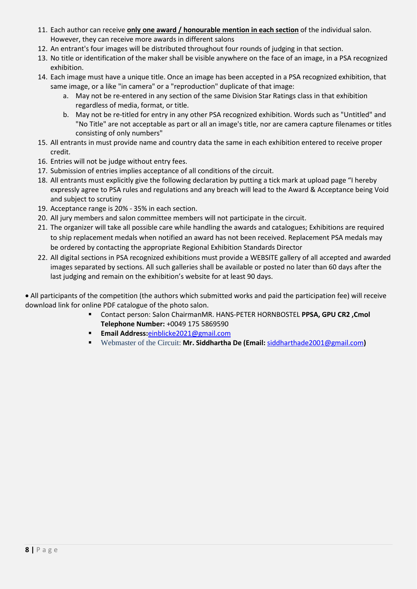- 11. Each author can receive **only one award / honourable mention in each section** of the individual salon. However, they can receive more awards in different salons
- 12. An entrant's four images will be distributed throughout four rounds of judging in that section.
- 13. No title or identification of the maker shall be visible anywhere on the face of an image, in a PSA recognized exhibition.
- 14. Each image must have a unique title. Once an image has been accepted in a PSA recognized exhibition, that same image, or a like "in camera" or a "reproduction" duplicate of that image:
	- a. May not be re-entered in any section of the same Division Star Ratings class in that exhibition regardless of media, format, or title.
	- b. May not be re-titled for entry in any other PSA recognized exhibition. Words such as "Untitled" and "No Title" are not acceptable as part or all an image's title, nor are camera capture filenames or titles consisting of only numbers"
- 15. All entrants in must provide name and country data the same in each exhibition entered to receive proper credit.
- 16. Entries will not be judge without entry fees.
- 17. Submission of entries implies acceptance of all conditions of the circuit.
- 18. All entrants must explicitly give the following declaration by putting a tick mark at upload page "I hereby expressly agree to PSA rules and regulations and any breach will lead to the Award & Acceptance being Void and subject to scrutiny
- 19. Acceptance range is 20% 35% in each section.
- 20. All jury members and salon committee members will not participate in the circuit.
- 21. The organizer will take all possible care while handling the awards and catalogues; Exhibitions are required to ship replacement medals when notified an award has not been received. Replacement PSA medals may be ordered by contacting the appropriate Regional Exhibition Standards Director
- 22. All digital sections in PSA recognized exhibitions must provide a WEBSITE gallery of all accepted and awarded images separated by sections. All such galleries shall be available or posted no later than 60 days after the last judging and remain on the exhibition's website for at least 90 days.

• All participants of the competition (the authors which submitted works and paid the participation fee) will receive download link for online PDF catalogue of the photo salon.

- Contact person: Salon ChairmanMR. HANS-PETER HORNBOSTEL **PPSA, GPU CR2 ,Cmol Telephone Number:** +0049 175 5869590
- **Email Address:**[einblicke2021@gmail.com](mailto:einblicke2021@gmail.com)
- Webmaster of the Circuit: **Mr. Siddhartha De (Email:** [siddharthade2001@gmail.com](mailto:siddharthade2001@gmail.com)**)**